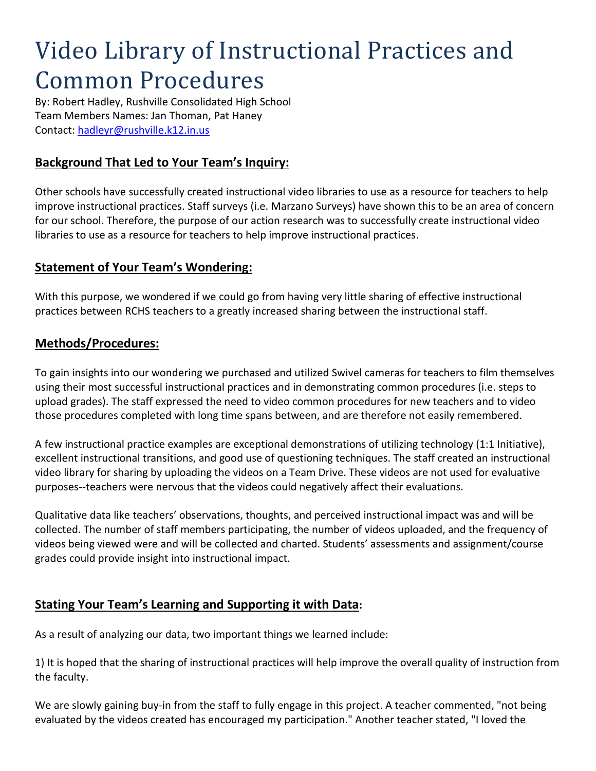# Video Library of Instructional Practices and Common Procedures

By: Robert Hadley, Rushville Consolidated High School Team Members Names: Jan Thoman, Pat Haney Contact:<hadleyr@rushville.k12.in.us>

# **Background That Led to Your Team's Inquiry:**

Other schools have successfully created instructional video libraries to use as a resource for teachers to help improve instructional practices. Staff surveys (i.e. Marzano Surveys) have shown this to be an area of concern for our school. Therefore, the purpose of our action research was to successfully create instructional video libraries to use as a resource for teachers to help improve instructional practices.

#### **Statement of Your Team's Wondering:**

With this purpose, we wondered if we could go from having very little sharing of effective instructional practices between RCHS teachers to a greatly increased sharing between the instructional staff.

#### **Methods/Procedures:**

To gain insights into our wondering we purchased and utilized Swivel cameras for teachers to film themselves using their most successful instructional practices and in demonstrating common procedures (i.e. steps to upload grades). The staff expressed the need to video common procedures for new teachers and to video those procedures completed with long time spans between, and are therefore not easily remembered.

A few instructional practice examples are exceptional demonstrations of utilizing technology (1:1 Initiative), excellent instructional transitions, and good use of questioning techniques. The staff created an instructional video library for sharing by uploading the videos on a Team Drive. These videos are not used for evaluative purposes--teachers were nervous that the videos could negatively affect their evaluations.

Qualitative data like teachers' observations, thoughts, and perceived instructional impact was and will be collected. The number of staff members participating, the number of videos uploaded, and the frequency of videos being viewed were and will be collected and charted. Students' assessments and assignment/course grades could provide insight into instructional impact.

## **Stating Your Team's Learning and Supporting it with Data:**

As a result of analyzing our data, two important things we learned include:

1) It is hoped that the sharing of instructional practices will help improve the overall quality of instruction from the faculty.

We are slowly gaining buy-in from the staff to fully engage in this project. A teacher commented, "not being evaluated by the videos created has encouraged my participation." Another teacher stated, "I loved the